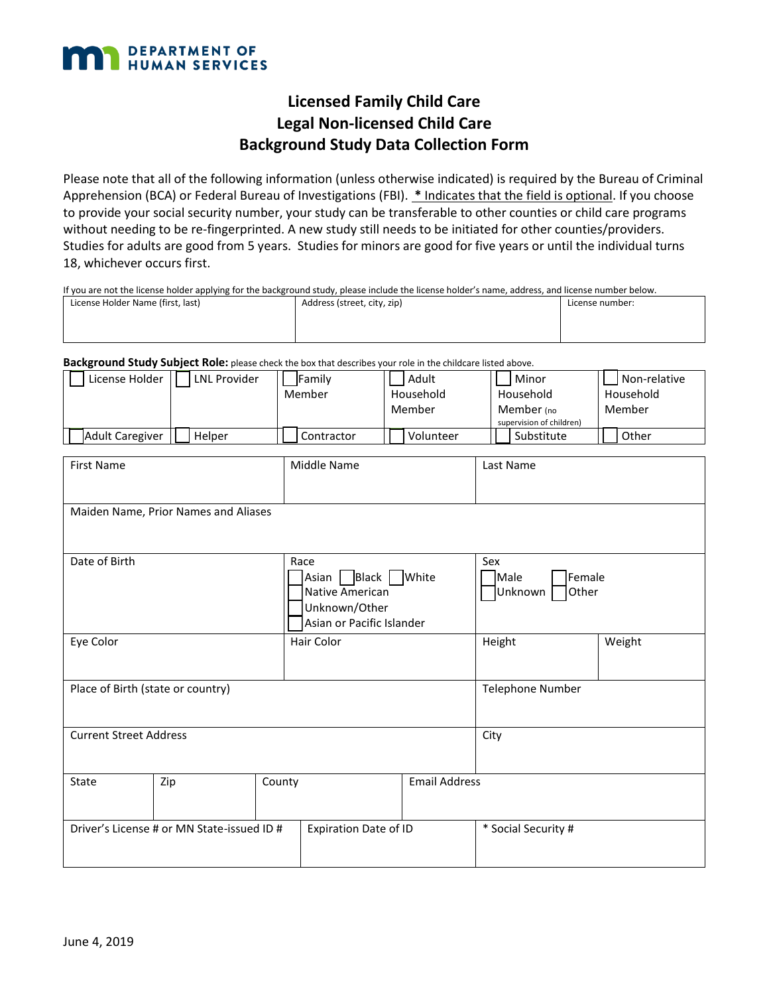

## **Licensed Family Child Care Legal Non-licensed Child Care Background Study Data Collection Form**

Please note that all of the following information (unless otherwise indicated) is required by the Bureau of Criminal Apprehension (BCA) or Federal Bureau of Investigations (FBI). **\*** Indicates that the field is optional. If you choose to provide your social security number, your study can be transferable to other counties or child care programs without needing to be re-fingerprinted. A new study still needs to be initiated for other counties/providers. Studies for adults are good from 5 years. Studies for minors are good for five years or until the individual turns 18, whichever occurs first.

If you are not the license holder applying for the background study, please include the license holder's name, address, and license number below.

| License Holder Name (first, last) | Address (street, city, zip) | License number: |  |
|-----------------------------------|-----------------------------|-----------------|--|
|                                   |                             |                 |  |
|                                   |                             |                 |  |

**Background Study Subject Role:** please check the box that describes your role in the childcare listed above.

| License Holder                             | LNL Provider                         | Family                       | Adult                     | Minor                    | Non-relative |
|--------------------------------------------|--------------------------------------|------------------------------|---------------------------|--------------------------|--------------|
|                                            |                                      | Member                       | Household                 | Household                | Household    |
|                                            |                                      |                              | Member                    | Member (no               | Member       |
|                                            |                                      |                              |                           | supervision of children) |              |
| Adult Caregiver                            | Helper                               | Contractor                   | Volunteer                 | Substitute               | Other        |
|                                            |                                      |                              |                           |                          |              |
| <b>First Name</b>                          |                                      | Middle Name                  |                           | Last Name                |              |
|                                            |                                      |                              |                           |                          |              |
|                                            |                                      |                              |                           |                          |              |
|                                            | Maiden Name, Prior Names and Aliases |                              |                           |                          |              |
|                                            |                                      |                              |                           |                          |              |
|                                            |                                      |                              |                           |                          |              |
| Date of Birth                              |                                      | Race                         |                           | Sex                      |              |
|                                            |                                      |                              | Asian   Black   White     | Female<br>Male           |              |
|                                            |                                      | Native American              |                           | Other<br>Unknown         |              |
|                                            |                                      | Unknown/Other                |                           |                          |              |
|                                            |                                      |                              | Asian or Pacific Islander |                          |              |
|                                            |                                      |                              |                           |                          |              |
| Eye Color                                  |                                      | Hair Color                   |                           | Height                   | Weight       |
|                                            |                                      |                              |                           |                          |              |
|                                            |                                      |                              |                           |                          |              |
| Place of Birth (state or country)          |                                      |                              | <b>Telephone Number</b>   |                          |              |
|                                            |                                      |                              |                           |                          |              |
|                                            |                                      |                              |                           |                          |              |
| <b>Current Street Address</b>              |                                      |                              | City                      |                          |              |
|                                            |                                      |                              |                           |                          |              |
|                                            |                                      |                              |                           |                          |              |
| <b>State</b>                               | Zip                                  | County                       | <b>Email Address</b>      |                          |              |
|                                            |                                      |                              |                           |                          |              |
|                                            |                                      |                              |                           |                          |              |
| Driver's License # or MN State-issued ID # |                                      | <b>Expiration Date of ID</b> |                           | * Social Security #      |              |
|                                            |                                      |                              |                           |                          |              |
|                                            |                                      |                              |                           |                          |              |